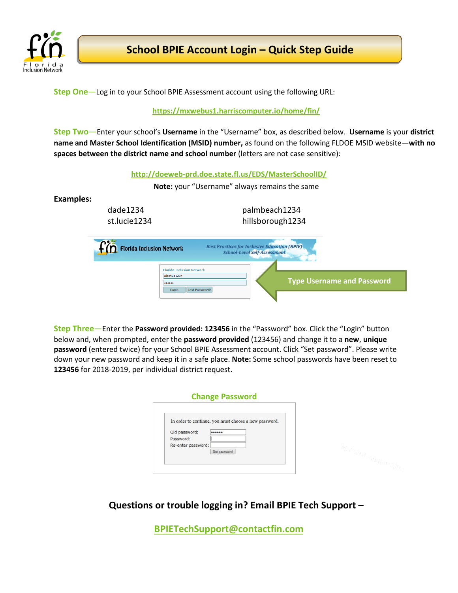

**Step One**—Log in to your School BPIE Assessment account using the following URL:

## **[https://mxwebus1.harriscomputer.io/home/fin/](https://mxweb.media-x.com/home/fin/)**

**Step Two**—Enter your school's **Username** in the "Username" box, as described below. **Username** is your **district name and Master School Identification (MSID) number,** as found on the following FLDOE MSID website—**with no spaces between the district name and school number** (letters are not case sensitive):

**<http://doeweb-prd.doe.state.fl.us/EDS/MasterSchoolID/>**

**Note:** your "Username" always remains the same

## **Examples:**

dade1234 st.lucie1234 palmbeach1234 hillsborough1234



**Step Three**—Enter the **Password provided: 123456** in the "Password" box. Click the "Login" button below and, when prompted, enter the **password provided** (123456) and change it to a **new**, **unique password** (entered twice) for your School BPIE Assessment account. Click "Set password". Please write down your new password and keep it in a safe place. **Note:** Some school passwords have been reset to **123456** for 2018-2019, per individual district request.

| <b>Change Password</b>                                                                                                        |                         |
|-------------------------------------------------------------------------------------------------------------------------------|-------------------------|
| In order to continue, you must choose a new password.<br>Old password:<br><br>Password:<br>Re-enter password:<br>Set password | -ur betty pagenyord (2- |
|                                                                                                                               |                         |

**Questions or trouble logging in? Email BPIE Tech Support –**

**[BPIETechSupport@contactfin.com](mailto:BPIETechSupport@contactfin.com)**